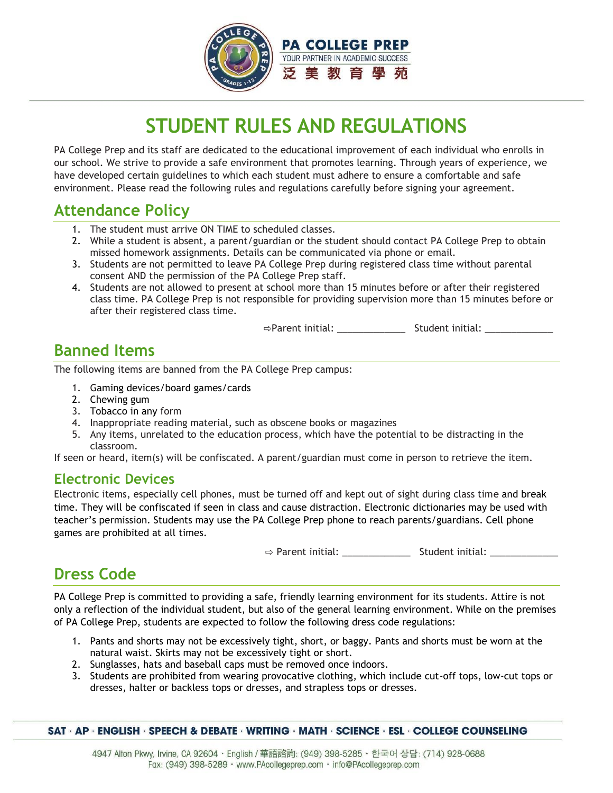

# **STUDENT RULES AND REGULATIONS**

PA College Prep and its staff are dedicated to the educational improvement of each individual who enrolls in our school. We strive to provide a safe environment that promotes learning. Through years of experience, we have developed certain guidelines to which each student must adhere to ensure a comfortable and safe environment. Please read the following rules and regulations carefully before signing your agreement.

### **Attendance Policy**

- 1. The student must arrive ON TIME to scheduled classes.
- 2. While a student is absent, a parent/guardian or the student should contact PA College Prep to obtain missed homework assignments. Details can be communicated via phone or email.
- 3. Students are not permitted to leave PA College Prep during registered class time without parental consent AND the permission of the PA College Prep staff.
- 4. Students are not allowed to present at school more than 15 minutes before or after their registered class time. PA College Prep is not responsible for providing supervision more than 15 minutes before or after their registered class time.

⇨Parent initial: \_\_\_\_\_\_\_\_\_\_\_\_\_ Student initial: \_\_\_\_\_\_\_\_\_\_\_\_\_

# **Banned Items**

The following items are banned from the PA College Prep campus:

- 1. Gaming devices/board games/cards
- 2. Chewing gum
- 3. Tobacco in any form
- 4. Inappropriate reading material, such as obscene books or magazines
- 5. Any items, unrelated to the education process, which have the potential to be distracting in the classroom.

If seen or heard, item(s) will be confiscated. A parent/guardian must come in person to retrieve the item.

#### **Electronic Devices**

Electronic items, especially cell phones, must be turned off and kept out of sight during class time and break time. They will be confiscated if seen in class and cause distraction. Electronic dictionaries may be used with teacher's permission. Students may use the PA College Prep phone to reach parents/guardians. Cell phone games are prohibited at all times.

 $\Rightarrow$  Parent initial:  $\Rightarrow$  Student initial:

# **Dress Code**

PA College Prep is committed to providing a safe, friendly learning environment for its students. Attire is not only a reflection of the individual student, but also of the general learning environment. While on the premises of PA College Prep, students are expected to follow the following dress code regulations:

- 1. Pants and shorts may not be excessively tight, short, or baggy. Pants and shorts must be worn at the natural waist. Skirts may not be excessively tight or short.
- 2. Sunglasses, hats and baseball caps must be removed once indoors.
- 3. Students are prohibited from wearing provocative clothing, which include cut-off tops, low-cut tops or dresses, halter or backless tops or dresses, and strapless tops or dresses.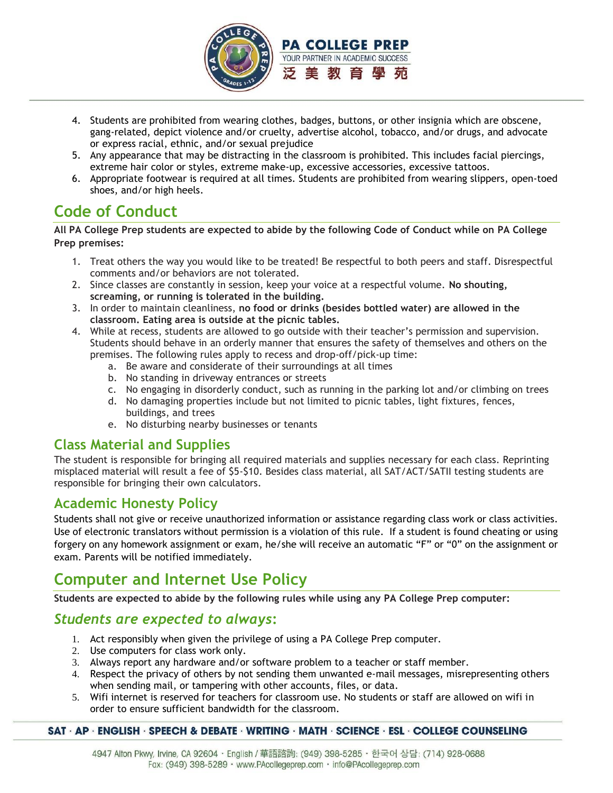

- 4. Students are prohibited from wearing clothes, badges, buttons, or other insignia which are obscene, gang-related, depict violence and/or cruelty, advertise alcohol, tobacco, and/or drugs, and advocate or express racial, ethnic, and/or sexual prejudice
- 5. Any appearance that may be distracting in the classroom is prohibited. This includes facial piercings, extreme hair color or styles, extreme make-up, excessive accessories, excessive tattoos.
- 6. Appropriate footwear is required at all times. Students are prohibited from wearing slippers, open-toed shoes, and/or high heels.

# **Code of Conduct**

**All PA College Prep students are expected to abide by the following Code of Conduct while on PA College Prep premises:**

- 1. Treat others the way you would like to be treated! Be respectful to both peers and staff. Disrespectful comments and/or behaviors are not tolerated.
- 2. Since classes are constantly in session, keep your voice at a respectful volume. **No shouting, screaming, or running is tolerated in the building.**
- 3. In order to maintain cleanliness, **no food or drinks (besides bottled water) are allowed in the classroom. Eating area is outside at the picnic tables.**
- 4. While at recess, students are allowed to go outside with their teacher's permission and supervision. Students should behave in an orderly manner that ensures the safety of themselves and others on the premises. The following rules apply to recess and drop-off/pick-up time:
	- a. Be aware and considerate of their surroundings at all times
	- b. No standing in driveway entrances or streets
	- c. No engaging in disorderly conduct, such as running in the parking lot and/or climbing on trees
	- d. No damaging properties include but not limited to picnic tables, light fixtures, fences, buildings, and trees
	- e. No disturbing nearby businesses or tenants

#### **Class Material and Supplies**

The student is responsible for bringing all required materials and supplies necessary for each class. Reprinting misplaced material will result a fee of \$5-\$10. Besides class material, all SAT/ACT/SATII testing students are responsible for bringing their own calculators.

#### **Academic Honesty Policy**

Students shall not give or receive unauthorized information or assistance regarding class work or class activities. Use of electronic translators without permission is a violation of this rule. If a student is found cheating or using forgery on any homework assignment or exam, he/she will receive an automatic "F" or "0" on the assignment or exam. Parents will be notified immediately.

# **Computer and Internet Use Policy**

**Students are expected to abide by the following rules while using any PA College Prep computer:**

#### *Students are expected to always***:**

- 1. Act responsibly when given the privilege of using a PA College Prep computer.
- 2. Use computers for class work only.
- 3. Always report any hardware and/or software problem to a teacher or staff member.
- 4. Respect the privacy of others by not sending them unwanted e-mail messages, misrepresenting others when sending mail, or tampering with other accounts, files, or data.
- 5. Wifi internet is reserved for teachers for classroom use. No students or staff are allowed on wifi in order to ensure sufficient bandwidth for the classroom.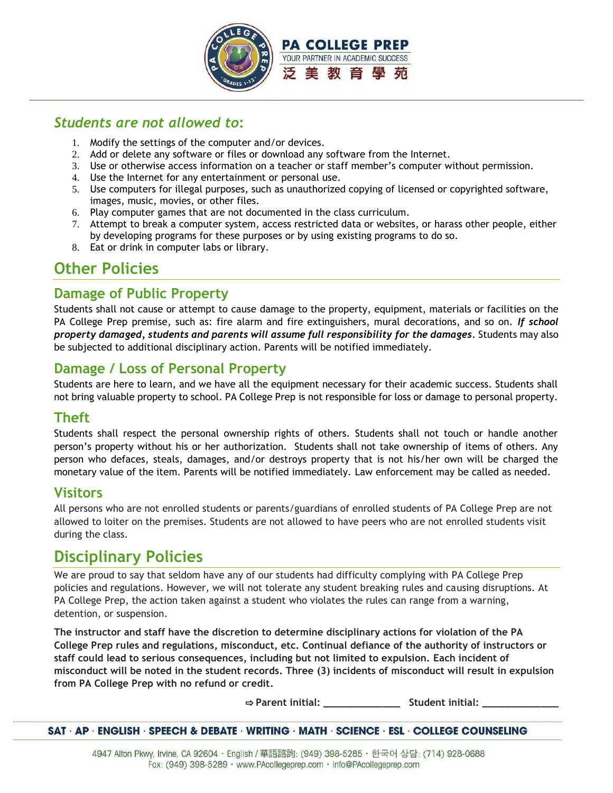

#### *Students are not allowed to***:**

- 1. Modify the settings of the computer and/or devices.
- 2. Add or delete any software or files or download any software from the Internet.
- 3. Use or otherwise access information on a teacher or staff member's computer without permission.
- 4. Use the Internet for any entertainment or personal use.
- 5. Use computers for illegal purposes, such as unauthorized copying of licensed or copyrighted software, images, music, movies, or other files.
- 6. Play computer games that are not documented in the class curriculum.
- 7. Attempt to break a computer system, access restricted data or websites, or harass other people, either by developing programs for these purposes or by using existing programs to do so.
- 8. Eat or drink in computer labs or library.

# **Other Policies**

#### **Damage of Public Property**

Students shall not cause or attempt to cause damage to the property, equipment, materials or facilities on the PA College Prep premise, such as: fire alarm and fire extinguishers, mural decorations, and so on. *If school property damaged, students and parents will assume full responsibility for the damages.* Students may also be subjected to additional disciplinary action. Parents will be notified immediately.

### **Damage / Loss of Personal Property**

Students are here to learn, and we have all the equipment necessary for their academic success. Students shall not bring valuable property to school. PA College Prep is not responsible for loss or damage to personal property.

### **Theft**

Students shall respect the personal ownership rights of others. Students shall not touch or handle another person's property without his or her authorization. Students shall not take ownership of items of others. Any person who defaces, steals, damages, and/or destroys property that is not his/her own will be charged the monetary value of the item. Parents will be notified immediately. Law enforcement may be called as needed.

#### **Visitors**

All persons who are not enrolled students or parents/guardians of enrolled students of PA College Prep are not allowed to loiter on the premises. Students are not allowed to have peers who are not enrolled students visit during the class.

### **Disciplinary Policies**

We are proud to say that seldom have any of our students had difficulty complying with PA College Prep policies and regulations. However, we will not tolerate any student breaking rules and causing disruptions. At PA College Prep, the action taken against a student who violates the rules can range from a warning, detention, or suspension.

**The instructor and staff have the discretion to determine disciplinary actions for violation of the PA College Prep rules and regulations, misconduct, etc. Continual defiance of the authority of instructors or staff could lead to serious consequences, including but not limited to expulsion. Each incident of misconduct will be noted in the student records. Three (3) incidents of misconduct will result in expulsion from PA College Prep with no refund or credit.** 

⇨ **Parent initial: \_\_\_\_\_\_\_\_\_\_\_\_\_ Student initial: \_\_\_\_\_\_\_\_\_\_\_\_\_**